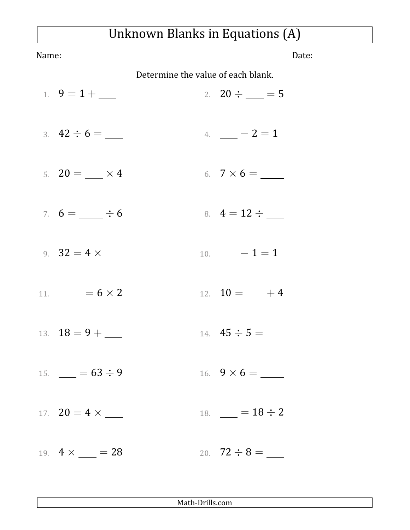## Unknown Blanks in Equations (A)

| Name:                                   |                                    |                     | Date: |  |  |
|-----------------------------------------|------------------------------------|---------------------|-------|--|--|
|                                         | Determine the value of each blank. |                     |       |  |  |
| 1. $9 = 1 + \_$                         |                                    | 2. $20 \div \_ = 5$ |       |  |  |
| 3. $42 \div 6 =$                        |                                    | 4. $-2=1$           |       |  |  |
| 5. $20 = \_ \times 4$                   |                                    |                     |       |  |  |
| 7. $6 = \_ \div 6$                      |                                    | 8. $4 = 12 \div$    |       |  |  |
| 9. $32 = 4 \times$                      |                                    | 10. $-1=1$          |       |  |  |
| 11. $= 6 \times 2$                      |                                    | 12. $10 = -4$       |       |  |  |
| 13. $18 = 9 + \underline{\hspace{1cm}}$ |                                    | 14. $45 \div 5 =$   |       |  |  |
| 15. $= 63 \div 9$                       |                                    |                     |       |  |  |
|                                         |                                    | 18. $= 18 \div 2$   |       |  |  |
| 19. $4 \times \_ = 28$                  |                                    |                     |       |  |  |